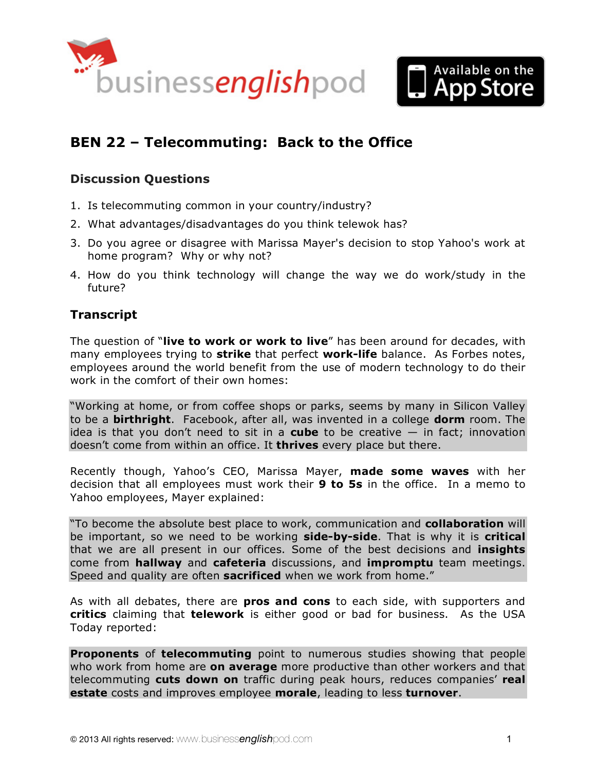



# **BEN 22 – Telecommuting: Back to the Office**

## **Discussion Questions**

- 1. Is telecommuting common in your country/industry?
- 2. What advantages/disadvantages do you think telewok has?
- 3. Do you agree or disagree with Marissa Mayer's decision to stop Yahoo's work at home program? Why or why not?
- 4. How do you think technology will change the way we do work/study in the future?

# **Transcript**

The question of "**live to work or work to live**" has been around for decades, with many employees trying to **strike** that perfect **work-life** balance. As Forbes notes, employees around the world benefit from the use of modern technology to do their work in the comfort of their own homes:

"Working at home, or from coffee shops or parks, seems by many in Silicon Valley to be a **birthright**. Facebook, after all, was invented in a college **dorm** room. The idea is that you don't need to sit in a **cube** to be creative — in fact; innovation doesn't come from within an office. It **thrives** every place but there.

Recently though, Yahoo's CEO, Marissa Mayer, **made some waves** with her decision that all employees must work their **9 to 5s** in the office. In a memo to Yahoo employees, Mayer explained:

"To become the absolute best place to work, communication and **collaboration** will be important, so we need to be working **side-by-side**. That is why it is **critical** that we are all present in our offices. Some of the best decisions and **insights** come from **hallway** and **cafeteria** discussions, and **impromptu** team meetings. Speed and quality are often **sacrificed** when we work from home."

As with all debates, there are **pros and cons** to each side, with supporters and **critics** claiming that **telework** is either good or bad for business. As the USA Today reported:

**Proponents** of **telecommuting** point to numerous studies showing that people who work from home are **on average** more productive than other workers and that telecommuting **cuts down on** traffic during peak hours, reduces companies' **real estate** costs and improves employee **morale**, leading to less **turnover**.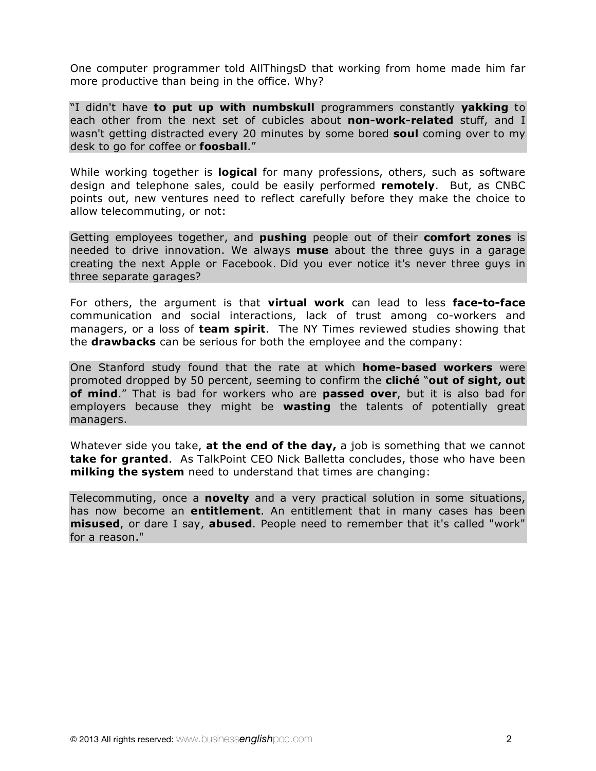One computer programmer told AllThingsD that working from home made him far more productive than being in the office. Why?

"I didn't have **to put up with numbskull** programmers constantly **yakking** to each other from the next set of cubicles about **non-work-related** stuff, and I wasn't getting distracted every 20 minutes by some bored **soul** coming over to my desk to go for coffee or **foosball**."

While working together is **logical** for many professions, others, such as software design and telephone sales, could be easily performed **remotely**. But, as CNBC points out, new ventures need to reflect carefully before they make the choice to allow telecommuting, or not:

Getting employees together, and **pushing** people out of their **comfort zones** is needed to drive innovation. We always **muse** about the three guys in a garage creating the next Apple or Facebook. Did you ever notice it's never three guys in three separate garages?

For others, the argument is that **virtual work** can lead to less **face-to-face** communication and social interactions, lack of trust among co-workers and managers, or a loss of **team spirit**. The NY Times reviewed studies showing that the **drawbacks** can be serious for both the employee and the company:

One Stanford study found that the rate at which **home-based workers** were promoted dropped by 50 percent, seeming to confirm the **cliché** "**out of sight, out of mind**." That is bad for workers who are **passed over**, but it is also bad for employers because they might be **wasting** the talents of potentially great managers.

Whatever side you take, **at the end of the day,** a job is something that we cannot **take for granted**. As TalkPoint CEO Nick Balletta concludes, those who have been **milking the system** need to understand that times are changing:

Telecommuting, once a **novelty** and a very practical solution in some situations, has now become an **entitlement**. An entitlement that in many cases has been **misused**, or dare I say, **abused**. People need to remember that it's called "work" for a reason."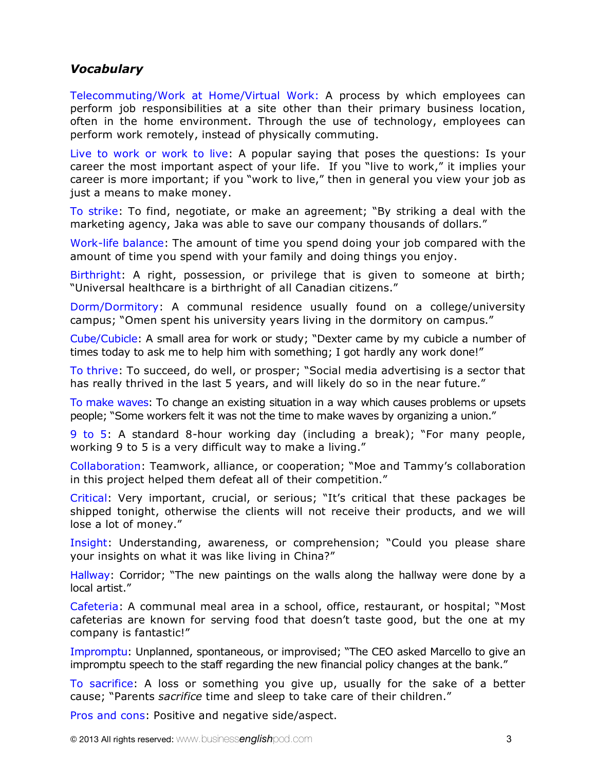# *Vocabulary*

Telecommuting/Work at Home/Virtual Work: A process by which employees can perform job responsibilities at a site other than their primary business location, often in the home environment. Through the use of technology, employees can perform work remotely, instead of physically commuting.

Live to work or work to live: A popular saying that poses the questions: Is your career the most important aspect of your life. If you "live to work," it implies your career is more important; if you "work to live," then in general you view your job as just a means to make money.

To strike: To find, negotiate, or make an agreement; "By striking a deal with the marketing agency, Jaka was able to save our company thousands of dollars."

Work-life balance: The amount of time you spend doing your job compared with the amount of time you spend with your family and doing things you enjoy.

Birthright: A right, possession, or privilege that is given to someone at birth; "Universal healthcare is a birthright of all Canadian citizens."

Dorm/Dormitory: A communal residence usually found on a college/university campus; "Omen spent his university years living in the dormitory on campus."

Cube/Cubicle: A small area for work or study; "Dexter came by my cubicle a number of times today to ask me to help him with something; I got hardly any work done!"

To thrive: To succeed, do well, or prosper; "Social media advertising is a sector that has really thrived in the last 5 years, and will likely do so in the near future."

To make waves: To change an existing situation in a way which causes problems or upsets people; "Some workers felt it was not the time to make waves by organizing a union."

9 to 5: A standard 8-hour working day (including a break); "For many people, working 9 to 5 is a very difficult way to make a living."

Collaboration: Teamwork, alliance, or cooperation; "Moe and Tammy's collaboration in this project helped them defeat all of their competition."

Critical: Very important, crucial, or serious; "It's critical that these packages be shipped tonight, otherwise the clients will not receive their products, and we will lose a lot of money."

Insight: Understanding, awareness, or comprehension; "Could you please share your insights on what it was like living in China?"

Hallway: Corridor; "The new paintings on the walls along the hallway were done by a local artist."

Cafeteria: A communal meal area in a school, office, restaurant, or hospital; "Most cafeterias are known for serving food that doesn't taste good, but the one at my company is fantastic!"

Impromptu: Unplanned, spontaneous, or improvised; "The CEO asked Marcello to give an impromptu speech to the staff regarding the new financial policy changes at the bank."

To sacrifice: A loss or something you give up, usually for the sake of a better cause; "Parents *sacrifice* time and sleep to take care of their children."

Pros and cons: Positive and negative side/aspect.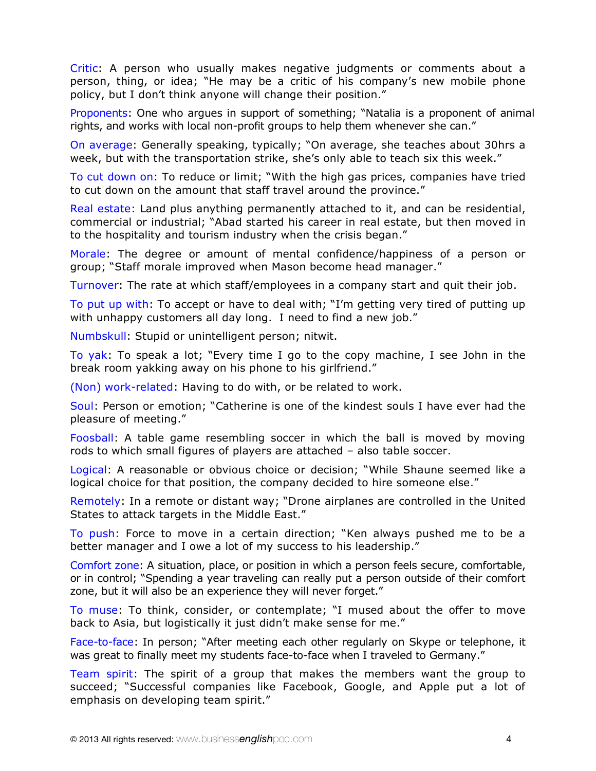Critic: A person who usually makes negative judgments or comments about a person, thing, or idea; "He may be a critic of his company's new mobile phone policy, but I don't think anyone will change their position."

Proponents: One who argues in support of something; "Natalia is a proponent of animal rights, and works with local non-profit groups to help them whenever she can."

On average: Generally speaking, typically; "On average, she teaches about 30hrs a week, but with the transportation strike, she's only able to teach six this week."

To cut down on: To reduce or limit; "With the high gas prices, companies have tried to cut down on the amount that staff travel around the province."

Real estate: Land plus anything permanently attached to it, and can be residential, commercial or industrial; "Abad started his career in real estate, but then moved in to the hospitality and tourism industry when the crisis began."

Morale: The degree or amount of mental confidence/happiness of a person or group; "Staff morale improved when Mason become head manager."

Turnover: The rate at which staff/employees in a company start and quit their job.

To put up with: To accept or have to deal with; "I'm getting very tired of putting up with unhappy customers all day long. I need to find a new job."

Numbskull: Stupid or unintelligent person; nitwit.

To yak: To speak a lot; "Every time I go to the copy machine, I see John in the break room yakking away on his phone to his girlfriend."

(Non) work-related: Having to do with, or be related to work.

Soul: Person or emotion; "Catherine is one of the kindest souls I have ever had the pleasure of meeting."

Foosball: A table game resembling soccer in which the ball is moved by moving rods to which small figures of players are attached – also table soccer.

Logical: A reasonable or obvious choice or decision; "While Shaune seemed like a logical choice for that position, the company decided to hire someone else."

Remotely: In a remote or distant way; "Drone airplanes are controlled in the United States to attack targets in the Middle East."

To push: Force to move in a certain direction; "Ken always pushed me to be a better manager and I owe a lot of my success to his leadership."

Comfort zone: A situation, place, or position in which a person feels secure, comfortable, or in control; "Spending a year traveling can really put a person outside of their comfort zone, but it will also be an experience they will never forget."

To muse: To think, consider, or contemplate; "I mused about the offer to move back to Asia, but logistically it just didn't make sense for me."

Face-to-face: In person; "After meeting each other regularly on Skype or telephone, it was great to finally meet my students face-to-face when I traveled to Germany."

Team spirit: The spirit of a group that makes the members want the group to succeed; "Successful companies like Facebook, Google, and Apple put a lot of emphasis on developing team spirit."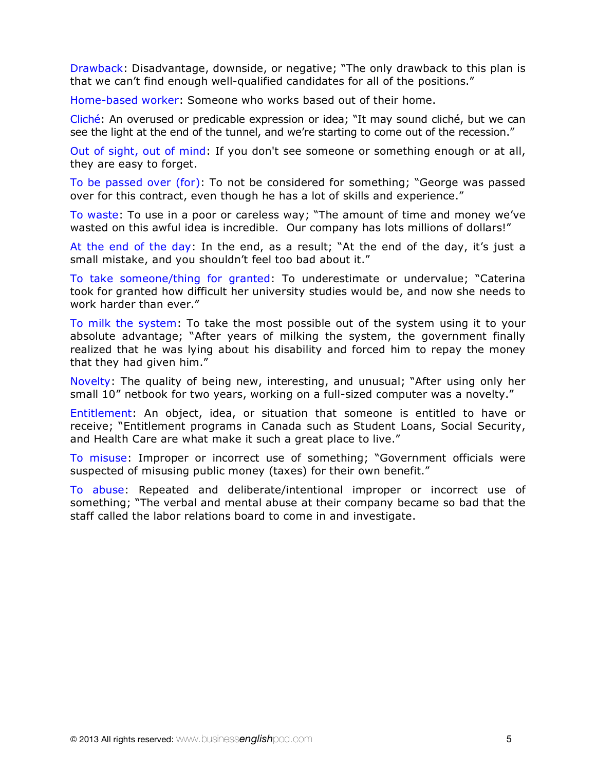Drawback: Disadvantage, downside, or negative; "The only drawback to this plan is that we can't find enough well-qualified candidates for all of the positions."

Home-based worker: Someone who works based out of their home.

Cliché: An overused or predicable expression or idea; "It may sound cliché, but we can see the light at the end of the tunnel, and we're starting to come out of the recession."

Out of sight, out of mind: If you don't see someone or something enough or at all, they are easy to forget.

To be passed over (for): To not be considered for something; "George was passed over for this contract, even though he has a lot of skills and experience."

To waste: To use in a poor or careless way; "The amount of time and money we've wasted on this awful idea is incredible. Our company has lots millions of dollars!"

At the end of the day: In the end, as a result; "At the end of the day, it's just a small mistake, and you shouldn't feel too bad about it."

To take someone/thing for granted: To underestimate or undervalue; "Caterina took for granted how difficult her university studies would be, and now she needs to work harder than ever."

To milk the system: To take the most possible out of the system using it to your absolute advantage; "After years of milking the system, the government finally realized that he was lying about his disability and forced him to repay the money that they had given him."

Novelty: The quality of being new, interesting, and unusual; "After using only her small 10" netbook for two years, working on a full-sized computer was a novelty."

Entitlement: An object, idea, or situation that someone is entitled to have or receive; "Entitlement programs in Canada such as Student Loans, Social Security, and Health Care are what make it such a great place to live."

To misuse: Improper or incorrect use of something; "Government officials were suspected of misusing public money (taxes) for their own benefit."

To abuse: Repeated and deliberate/intentional improper or incorrect use of something; "The verbal and mental abuse at their company became so bad that the staff called the labor relations board to come in and investigate.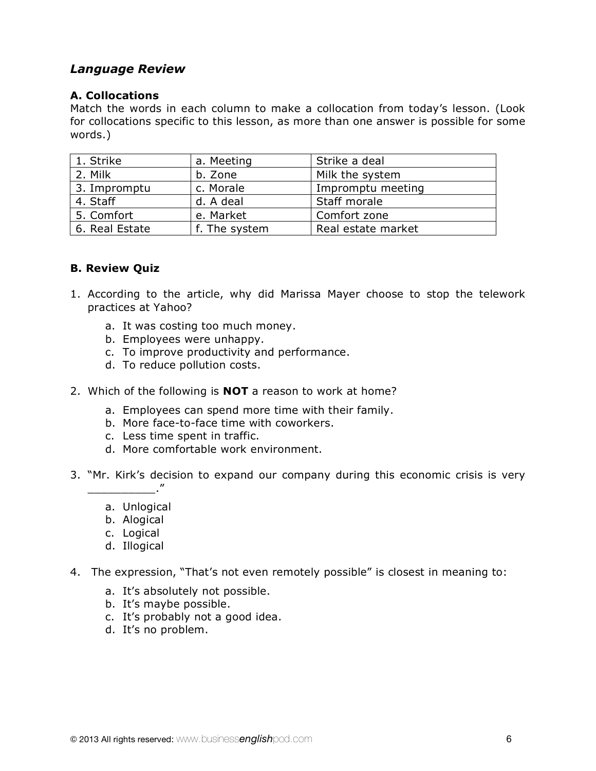## *Language Review*

#### **A. Collocations**

Match the words in each column to make a collocation from today's lesson. (Look for collocations specific to this lesson, as more than one answer is possible for some words.)

| 1. Strike      | a. Meeting    | Strike a deal      |
|----------------|---------------|--------------------|
| 2. Milk        | b. Zone       | Milk the system    |
| 3. Impromptu   | c. Morale     | Impromptu meeting  |
| 4. Staff       | d. A deal     | Staff morale       |
| 5. Comfort     | e. Market     | Comfort zone       |
| 6. Real Estate | f. The system | Real estate market |

#### **B. Review Quiz**

- 1. According to the article, why did Marissa Mayer choose to stop the telework practices at Yahoo?
	- a. It was costing too much money.
	- b. Employees were unhappy.
	- c. To improve productivity and performance.
	- d. To reduce pollution costs.
- 2. Which of the following is **NOT** a reason to work at home?
	- a. Employees can spend more time with their family.
	- b. More face-to-face time with coworkers.
	- c. Less time spent in traffic.
	- d. More comfortable work environment.
- 3. "Mr. Kirk's decision to expand our company during this economic crisis is very \_\_\_\_\_\_\_\_\_\_."
	- a. Unlogical
	- b. Alogical
	- c. Logical
	- d. Illogical
- 4. The expression, "That's not even remotely possible" is closest in meaning to:
	- a. It's absolutely not possible.
	- b. It's maybe possible.
	- c. It's probably not a good idea.
	- d. It's no problem.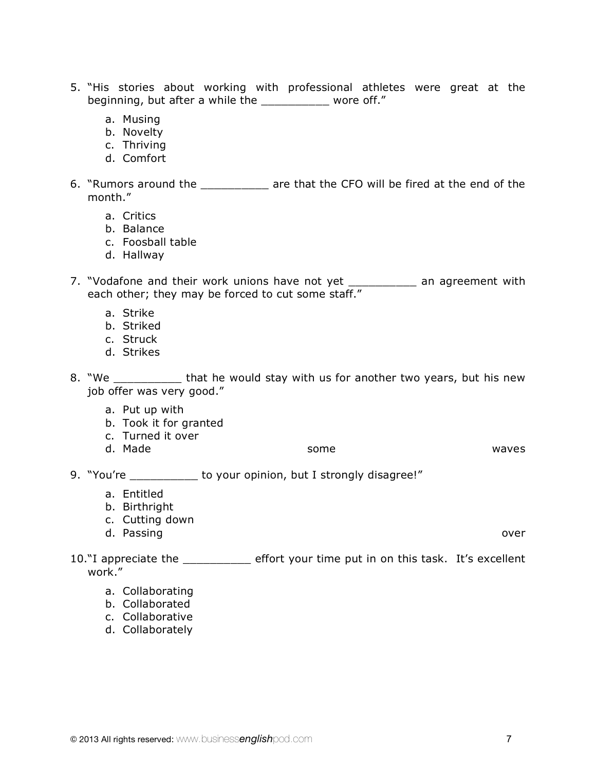- 5. "His stories about working with professional athletes were great at the beginning, but after a while the \_\_\_\_\_\_\_\_\_\_ wore off."
	- a. Musing
	- b. Novelty
	- c. Thriving
	- d. Comfort
- 6. "Rumors around the end of the are that the CFO will be fired at the end of the month."
	- a. Critics
	- b. Balance
	- c. Foosball table
	- d. Hallway
- 7. "Vodafone and their work unions have not yet \_\_\_\_\_\_\_\_\_\_ an agreement with each other; they may be forced to cut some staff."
	- a. Strike
	- b. Striked
	- c. Struck
	- d. Strikes

8. "We \_\_\_\_\_\_\_\_\_\_\_ that he would stay with us for another two years, but his new job offer was very good."

- a. Put up with
- b. Took it for granted
- c. Turned it over
- 

d. Made some waves

- 9. "You're \_\_\_\_\_\_\_\_\_\_ to your opinion, but I strongly disagree!"
	- a. Entitled
	- b. Birthright
	- c. Cutting down
	- d. Passing over the contract of the contract of the contract of the contract of the contract of the contract of the contract of the contract of the contract of the contract of the contract of the contract of the contract o

10."I appreciate the \_\_\_\_\_\_\_\_\_\_ effort your time put in on this task. It's excellent work."

- a. Collaborating
- b. Collaborated
- c. Collaborative
- d. Collaborately